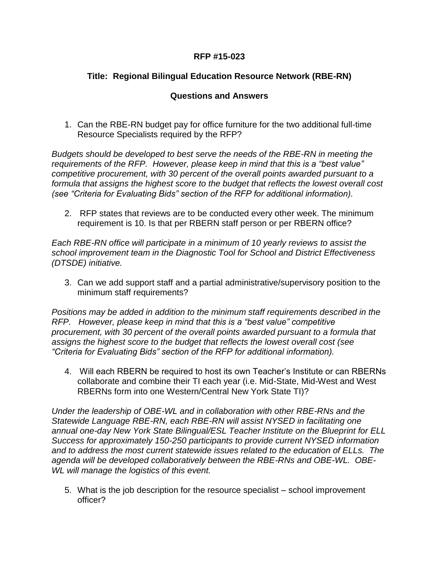## **RFP #15-023**

## **Title: Regional Bilingual Education Resource Network (RBE-RN)**

## **Questions and Answers**

1. Can the RBE-RN budget pay for office furniture for the two additional full-time Resource Specialists required by the RFP?

*Budgets should be developed to best serve the needs of the RBE-RN in meeting the requirements of the RFP. However, please keep in mind that this is a "best value" competitive procurement, with 30 percent of the overall points awarded pursuant to a formula that assigns the highest score to the budget that reflects the lowest overall cost (see "Criteria for Evaluating Bids" section of the RFP for additional information).*

2. RFP states that reviews are to be conducted every other week. The minimum requirement is 10. Is that per RBERN staff person or per RBERN office?

*Each RBE-RN office will participate in a minimum of 10 yearly reviews to assist the school improvement team in the Diagnostic Tool for School and District Effectiveness (DTSDE) initiative.* 

3. Can we add support staff and a partial administrative/supervisory position to the minimum staff requirements?

*Positions may be added in addition to the minimum staff requirements described in the RFP. However, please keep in mind that this is a "best value" competitive procurement, with 30 percent of the overall points awarded pursuant to a formula that assigns the highest score to the budget that reflects the lowest overall cost (see "Criteria for Evaluating Bids" section of the RFP for additional information).*

4. Will each RBERN be required to host its own Teacher's Institute or can RBERNs collaborate and combine their TI each year (i.e. Mid-State, Mid-West and West RBERNs form into one Western/Central New York State TI)?

*Under the leadership of OBE-WL and in collaboration with other RBE-RNs and the Statewide Language RBE-RN, each RBE-RN will assist NYSED in facilitating one annual one-day New York State Bilingual/ESL Teacher Institute on the Blueprint for ELL Success for approximately 150-250 participants to provide current NYSED information and to address the most current statewide issues related to the education of ELLs. The agenda will be developed collaboratively between the RBE-RNs and OBE-WL. OBE-WL will manage the logistics of this event.* 

5. What is the job description for the resource specialist – school improvement officer?